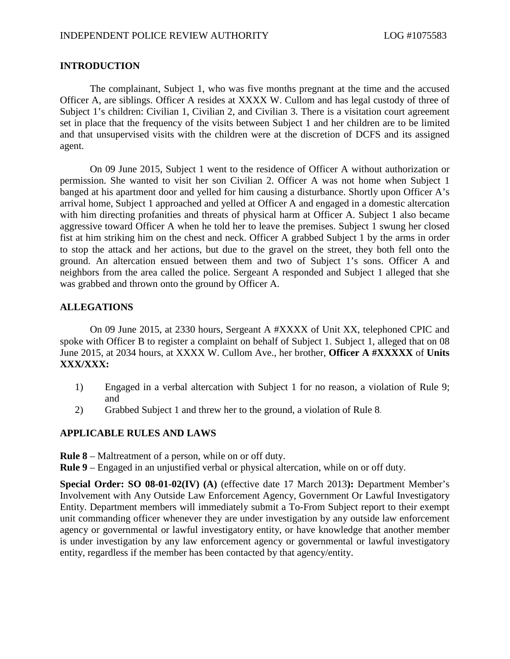## **INTRODUCTION**

The complainant, Subject 1, who was five months pregnant at the time and the accused Officer A, are siblings. Officer A resides at XXXX W. Cullom and has legal custody of three of Subject 1's children: Civilian 1, Civilian 2, and Civilian 3. There is a visitation court agreement set in place that the frequency of the visits between Subject 1 and her children are to be limited and that unsupervised visits with the children were at the discretion of DCFS and its assigned agent.

On 09 June 2015, Subject 1 went to the residence of Officer A without authorization or permission. She wanted to visit her son Civilian 2. Officer A was not home when Subject 1 banged at his apartment door and yelled for him causing a disturbance. Shortly upon Officer A's arrival home, Subject 1 approached and yelled at Officer A and engaged in a domestic altercation with him directing profanities and threats of physical harm at Officer A. Subject 1 also became aggressive toward Officer A when he told her to leave the premises. Subject 1 swung her closed fist at him striking him on the chest and neck. Officer A grabbed Subject 1 by the arms in order to stop the attack and her actions, but due to the gravel on the street, they both fell onto the ground. An altercation ensued between them and two of Subject 1's sons. Officer A and neighbors from the area called the police. Sergeant A responded and Subject 1 alleged that she was grabbed and thrown onto the ground by Officer A.

# **ALLEGATIONS**

On 09 June 2015, at 2330 hours, Sergeant A #XXXX of Unit XX, telephoned CPIC and spoke with Officer B to register a complaint on behalf of Subject 1. Subject 1, alleged that on 08 June 2015, at 2034 hours, at XXXX W. Cullom Ave., her brother, **Officer A #XXXXX** of **Units XXX/XXX:**

- 1) Engaged in a verbal altercation with Subject 1 for no reason, a violation of Rule 9; and
- 2) Grabbed Subject 1 and threw her to the ground, a violation of Rule 8.

#### **APPLICABLE RULES AND LAWS**

- **Rule 8** Maltreatment of a person, while on or off duty.
- **Rule 9** Engaged in an unjustified verbal or physical altercation, while on or off duty.

**Special Order: SO 08-01-02(IV) (A)** (effective date 17 March 2013**):** Department Member's Involvement with Any Outside Law Enforcement Agency, Government Or Lawful Investigatory Entity. Department members will immediately submit a To-From Subject report to their exempt unit commanding officer whenever they are under investigation by any outside law enforcement agency or governmental or lawful investigatory entity, or have knowledge that another member is under investigation by any law enforcement agency or governmental or lawful investigatory entity, regardless if the member has been contacted by that agency/entity.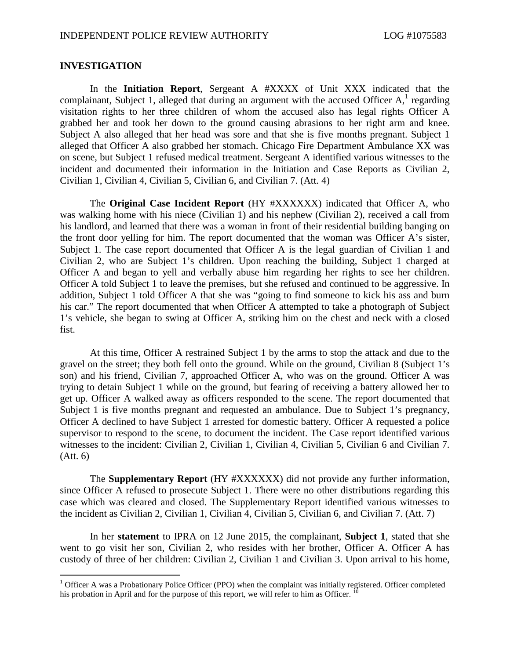### **INVESTIGATION**

In the **Initiation Report**, Sergeant A #XXXX of Unit XXX indicated that the complainant,Subject 1, alleged that during an argument with the accused Officer  $A$ ,<sup>1</sup> regarding visitation rights to her three children of whom the accused also has legal rights Officer A grabbed her and took her down to the ground causing abrasions to her right arm and knee. Subject A also alleged that her head was sore and that she is five months pregnant. Subject 1 alleged that Officer A also grabbed her stomach. Chicago Fire Department Ambulance XX was on scene, but Subject 1 refused medical treatment. Sergeant A identified various witnesses to the incident and documented their information in the Initiation and Case Reports as Civilian 2, Civilian 1, Civilian 4, Civilian 5, Civilian 6, and Civilian 7. (Att. 4)

The **Original Case Incident Report** (HY #XXXXXX) indicated that Officer A, who was walking home with his niece (Civilian 1) and his nephew (Civilian 2), received a call from his landlord, and learned that there was a woman in front of their residential building banging on the front door yelling for him. The report documented that the woman was Officer A's sister, Subject 1. The case report documented that Officer A is the legal guardian of Civilian 1 and Civilian 2, who are Subject 1's children. Upon reaching the building, Subject 1 charged at Officer A and began to yell and verbally abuse him regarding her rights to see her children. Officer A told Subject 1 to leave the premises, but she refused and continued to be aggressive. In addition, Subject 1 told Officer A that she was "going to find someone to kick his ass and burn his car." The report documented that when Officer A attempted to take a photograph of Subject 1's vehicle, she began to swing at Officer A, striking him on the chest and neck with a closed fist.

At this time, Officer A restrained Subject 1 by the arms to stop the attack and due to the gravel on the street; they both fell onto the ground. While on the ground, Civilian 8 (Subject 1's son) and his friend, Civilian 7, approached Officer A, who was on the ground. Officer A was trying to detain Subject 1 while on the ground, but fearing of receiving a battery allowed her to get up. Officer A walked away as officers responded to the scene. The report documented that Subject 1 is five months pregnant and requested an ambulance. Due to Subject 1's pregnancy, Officer A declined to have Subject 1 arrested for domestic battery. Officer A requested a police supervisor to respond to the scene, to document the incident. The Case report identified various witnesses to the incident: Civilian 2, Civilian 1, Civilian 4, Civilian 5, Civilian 6 and Civilian 7. (Att. 6)

The **Supplementary Report** (HY #XXXXXX) did not provide any further information, since Officer A refused to prosecute Subject 1. There were no other distributions regarding this case which was cleared and closed. The Supplementary Report identified various witnesses to the incident as Civilian 2, Civilian 1, Civilian 4, Civilian 5, Civilian 6, and Civilian 7. (Att. 7)

In her **statement** to IPRA on 12 June 2015, the complainant, **Subject 1**, stated that she went to go visit her son, Civilian 2, who resides with her brother, Officer A. Officer A has custody of three of her children: Civilian 2, Civilian 1 and Civilian 3. Upon arrival to his home,

<span id="page-1-0"></span> $1$  Officer A was a Probationary Police Officer (PPO) when the complaint was initially registered. Officer completed his probation in April and for the purpose of this report, we will refer to him as Officer.  $10$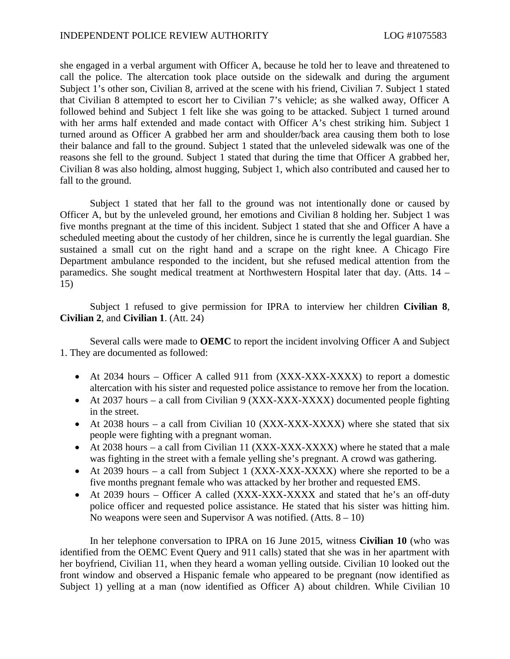she engaged in a verbal argument with Officer A, because he told her to leave and threatened to call the police. The altercation took place outside on the sidewalk and during the argument Subject 1's other son, Civilian 8, arrived at the scene with his friend, Civilian 7. Subject 1 stated that Civilian 8 attempted to escort her to Civilian 7's vehicle; as she walked away, Officer A followed behind and Subject 1 felt like she was going to be attacked. Subject 1 turned around with her arms half extended and made contact with Officer A's chest striking him. Subject 1 turned around as Officer A grabbed her arm and shoulder/back area causing them both to lose their balance and fall to the ground. Subject 1 stated that the unleveled sidewalk was one of the reasons she fell to the ground. Subject 1 stated that during the time that Officer A grabbed her, Civilian 8 was also holding, almost hugging, Subject 1, which also contributed and caused her to fall to the ground.

Subject 1 stated that her fall to the ground was not intentionally done or caused by Officer A, but by the unleveled ground, her emotions and Civilian 8 holding her. Subject 1 was five months pregnant at the time of this incident. Subject 1 stated that she and Officer A have a scheduled meeting about the custody of her children, since he is currently the legal guardian. She sustained a small cut on the right hand and a scrape on the right knee. A Chicago Fire Department ambulance responded to the incident, but she refused medical attention from the paramedics. She sought medical treatment at Northwestern Hospital later that day. (Atts. 14 – 15)

Subject 1 refused to give permission for IPRA to interview her children **Civilian 8**, **Civilian 2**, and **Civilian 1**. (Att. 24)

Several calls were made to **OEMC** to report the incident involving Officer A and Subject 1. They are documented as followed:

- At 2034 hours Officer A called 911 from (XXX-XXX-XXXX) to report a domestic altercation with his sister and requested police assistance to remove her from the location.
- At 2037 hours a call from Civilian 9 (XXX-XXX-XXXX) documented people fighting in the street.
- At 2038 hours a call from Civilian 10 (XXX-XXX-XXXX) where she stated that six people were fighting with a pregnant woman.
- At 2038 hours a call from Civilian 11 (XXX-XXX-XXXX) where he stated that a male was fighting in the street with a female yelling she's pregnant. A crowd was gathering.
- At 2039 hours a call from Subject 1 (XXX-XXX-XXXX) where she reported to be a five months pregnant female who was attacked by her brother and requested EMS.
- At 2039 hours Officer A called (XXX-XXX-XXXX and stated that he's an off-duty police officer and requested police assistance. He stated that his sister was hitting him. No weapons were seen and Supervisor A was notified. (Atts.  $8 - 10$ )

In her telephone conversation to IPRA on 16 June 2015, witness **Civilian 10** (who was identified from the OEMC Event Query and 911 calls) stated that she was in her apartment with her boyfriend, Civilian 11, when they heard a woman yelling outside. Civilian 10 looked out the front window and observed a Hispanic female who appeared to be pregnant (now identified as Subject 1) yelling at a man (now identified as Officer A) about children. While Civilian 10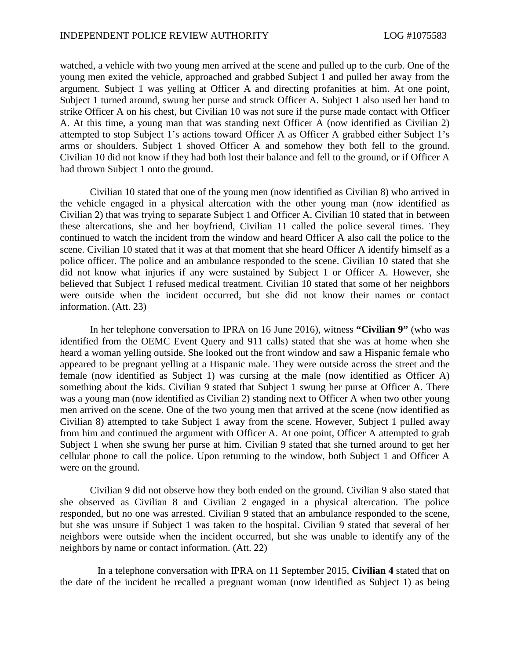watched, a vehicle with two young men arrived at the scene and pulled up to the curb. One of the young men exited the vehicle, approached and grabbed Subject 1 and pulled her away from the argument. Subject 1 was yelling at Officer A and directing profanities at him. At one point, Subject 1 turned around, swung her purse and struck Officer A. Subject 1 also used her hand to strike Officer A on his chest, but Civilian 10 was not sure if the purse made contact with Officer A. At this time, a young man that was standing next Officer A (now identified as Civilian 2) attempted to stop Subject 1's actions toward Officer A as Officer A grabbed either Subject 1's arms or shoulders. Subject 1 shoved Officer A and somehow they both fell to the ground. Civilian 10 did not know if they had both lost their balance and fell to the ground, or if Officer A had thrown Subject 1 onto the ground.

Civilian 10 stated that one of the young men (now identified as Civilian 8) who arrived in the vehicle engaged in a physical altercation with the other young man (now identified as Civilian 2) that was trying to separate Subject 1 and Officer A. Civilian 10 stated that in between these altercations, she and her boyfriend, Civilian 11 called the police several times. They continued to watch the incident from the window and heard Officer A also call the police to the scene. Civilian 10 stated that it was at that moment that she heard Officer A identify himself as a police officer. The police and an ambulance responded to the scene. Civilian 10 stated that she did not know what injuries if any were sustained by Subject 1 or Officer A. However, she believed that Subject 1 refused medical treatment. Civilian 10 stated that some of her neighbors were outside when the incident occurred, but she did not know their names or contact information. (Att. 23)

In her telephone conversation to IPRA on 16 June 2016), witness **"Civilian 9"** (who was identified from the OEMC Event Query and 911 calls) stated that she was at home when she heard a woman yelling outside. She looked out the front window and saw a Hispanic female who appeared to be pregnant yelling at a Hispanic male. They were outside across the street and the female (now identified as Subject 1) was cursing at the male (now identified as Officer A) something about the kids. Civilian 9 stated that Subject 1 swung her purse at Officer A. There was a young man (now identified as Civilian 2) standing next to Officer A when two other young men arrived on the scene. One of the two young men that arrived at the scene (now identified as Civilian 8) attempted to take Subject 1 away from the scene. However, Subject 1 pulled away from him and continued the argument with Officer A. At one point, Officer A attempted to grab Subject 1 when she swung her purse at him. Civilian 9 stated that she turned around to get her cellular phone to call the police. Upon returning to the window, both Subject 1 and Officer A were on the ground.

Civilian 9 did not observe how they both ended on the ground. Civilian 9 also stated that she observed as Civilian 8 and Civilian 2 engaged in a physical altercation. The police responded, but no one was arrested. Civilian 9 stated that an ambulance responded to the scene, but she was unsure if Subject 1 was taken to the hospital. Civilian 9 stated that several of her neighbors were outside when the incident occurred, but she was unable to identify any of the neighbors by name or contact information. (Att. 22)

In a telephone conversation with IPRA on 11 September 2015, **Civilian 4** stated that on the date of the incident he recalled a pregnant woman (now identified as Subject 1) as being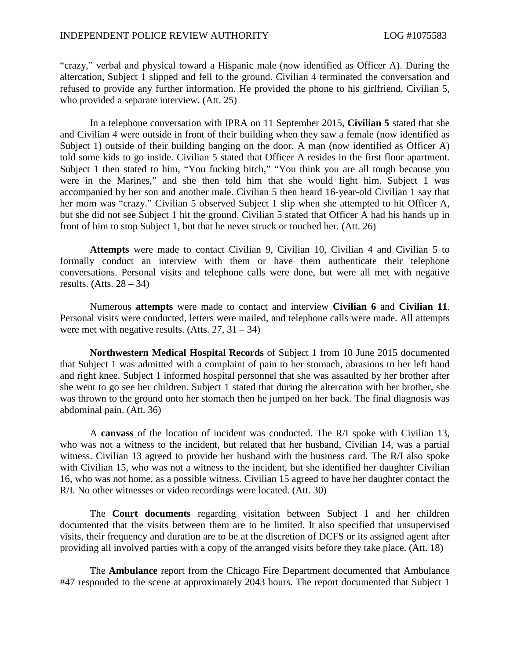"crazy," verbal and physical toward a Hispanic male (now identified as Officer A). During the altercation, Subject 1 slipped and fell to the ground. Civilian 4 terminated the conversation and refused to provide any further information. He provided the phone to his girlfriend, Civilian 5, who provided a separate interview. (Att. 25)

In a telephone conversation with IPRA on 11 September 2015, **Civilian 5** stated that she and Civilian 4 were outside in front of their building when they saw a female (now identified as Subject 1) outside of their building banging on the door. A man (now identified as Officer A) told some kids to go inside. Civilian 5 stated that Officer A resides in the first floor apartment. Subject 1 then stated to him, "You fucking bitch," "You think you are all tough because you were in the Marines," and she then told him that she would fight him. Subject 1 was accompanied by her son and another male. Civilian 5 then heard 16-year-old Civilian 1 say that her mom was "crazy." Civilian 5 observed Subject 1 slip when she attempted to hit Officer A, but she did not see Subject 1 hit the ground. Civilian 5 stated that Officer A had his hands up in front of him to stop Subject 1, but that he never struck or touched her. (Att. 26)

**Attempts** were made to contact Civilian 9, Civilian 10, Civilian 4 and Civilian 5 to formally conduct an interview with them or have them authenticate their telephone conversations. Personal visits and telephone calls were done, but were all met with negative results.  $(A$ tts.  $28 - 34)$ 

Numerous **attempts** were made to contact and interview **Civilian 6** and **Civilian 11**. Personal visits were conducted, letters were mailed, and telephone calls were made. All attempts were met with negative results. (Atts.  $27, 31 - 34$ )

**Northwestern Medical Hospital Records** of Subject 1 from 10 June 2015 documented that Subject 1 was admitted with a complaint of pain to her stomach, abrasions to her left hand and right knee. Subject 1 informed hospital personnel that she was assaulted by her brother after she went to go see her children. Subject 1 stated that during the altercation with her brother, she was thrown to the ground onto her stomach then he jumped on her back. The final diagnosis was abdominal pain. (Att. 36)

A **canvass** of the location of incident was conducted. The R/I spoke with Civilian 13, who was not a witness to the incident, but related that her husband, Civilian 14, was a partial witness. Civilian 13 agreed to provide her husband with the business card. The R/I also spoke with Civilian 15, who was not a witness to the incident, but she identified her daughter Civilian 16, who was not home, as a possible witness. Civilian 15 agreed to have her daughter contact the R/I. No other witnesses or video recordings were located. (Att. 30)

The **Court documents** regarding visitation between Subject 1 and her children documented that the visits between them are to be limited. It also specified that unsupervised visits, their frequency and duration are to be at the discretion of DCFS or its assigned agent after providing all involved parties with a copy of the arranged visits before they take place. (Att. 18)

The **Ambulance** report from the Chicago Fire Department documented that Ambulance #47 responded to the scene at approximately 2043 hours. The report documented that Subject 1